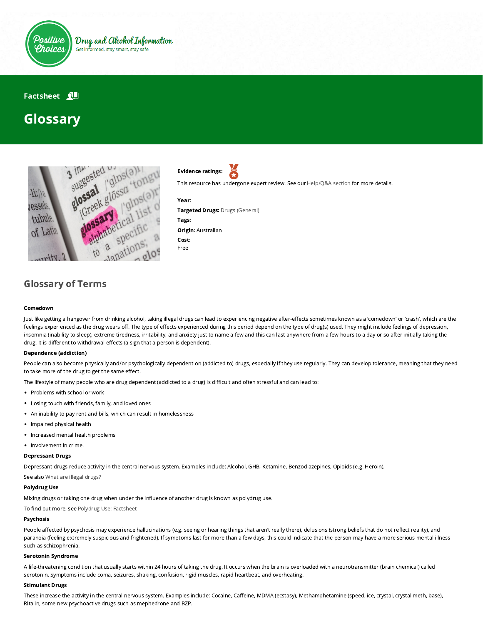

## **Factsheet N**

# Glossary



Evidence ratings:

This resource has undergone expert review. See our [Help/Q&A section](https://positivechoices.org.au/help/questions-and-answers/) for more details.

#### Year:



Targeted Drugs: Drugs (General) Tags: Origin: Australian Cost: Free

# Glossary of Terms

#### Comedown

Just like getting a hangover from drinking alcohol, taking illegal drugs can lead to experiencing negative after-effects sometimes known as a 'comedown' or 'crash', which are the feelings experienced as the drug wears off. The type of effects experienced during this period depend on the type of drug(s) used. They might include feelings of depression, insomnia (inability to sleep), extreme tiredness, irritability, and anxiety just to name a few and this can last anywhere from a few hours to a day or so after initially taking the drug. It is different to withdrawal effects (a sign that a person is dependent).

#### Dependence (addiction)

People can also become physically and/or psychologically dependent on (addicted to) drugs, especially if they use regularly. They can develop tolerance, meaning that they need to take more of the drug to get the same effect.

The lifestyle of many people who are drug dependent (addicted to a drug) is difficult and often stressful and can lead to:

- Problems with school or work
- Losing touch with friends, family, and loved ones
- An inability to pay rent and bills, which can result in homelessness
- Impaired physical health
- Increased mental health problems
- Involvement in crime.

#### Depressant Drugs

Depressant drugs reduce activity in the central nervous system. Examples include: Alcohol, GHB, Ketamine, Benzodiazepines, Opioids (e.g. Heroin).

See also [What are illegal drugs?](https://positivechoices.org.au/teachers/what-are-illegal-drugs/)

#### Polydrug Use

Mixing drugs or taking one drug when under the influence of another drug is known as polydrug use.

To find out more, see [Polydrug Use: Factsheet](https://positivechoices.org.au/teachers/polydrug-use-factsheet)

#### Psychosis

People affected by psychosis may experience hallucinations (e.g. seeing or hearing things that aren't really there), delusions (strong beliefs that do not reflect reality), and paranoia (feeling extremely suspicious and frightened). If symptoms last for more than a few days, this could indicate that the person may have a more serious mental illness such as schizophrenia.

#### Serotonin Syndrome

A life-threatening condition that usually starts within 24 hours of taking the drug. It occurs when the brain is overloaded with a neurotransmitter (brain chemical) called serotonin. Symptoms include coma, seizures, shaking, confusion, rigid muscles, rapid heartbeat, and overheating.

#### Stimulant Drugs

These increase the activity in the central nervous system. Examples include: Cocaine, Caffeine, MDMA (ecstasy), Methamphetamine (speed, ice, crystal, crystal meth, base), Ritalin, some new psychoactive drugs such as mephedrone and BZP.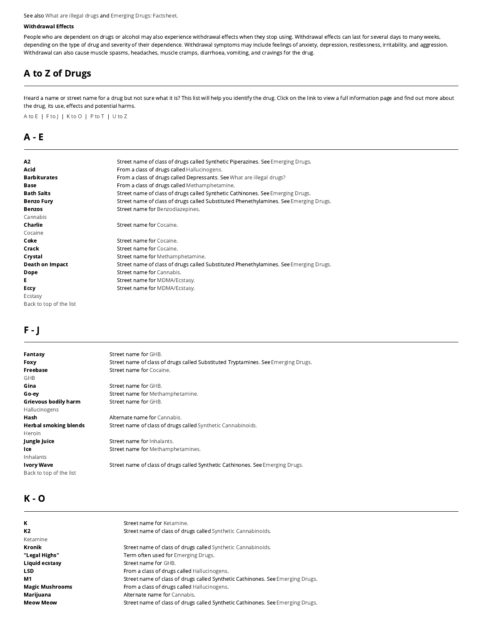#### See also [What are illegal drugs](https://positivechoices.org.au/teachers/what-are-illegal-drugs/) and [Emerging Drugs: Factsheet.](https://positivechoices.org.au/teachers/emerging-drugs-factsheet)

#### Withdrawal Effects

People who are dependent on drugs or alcohol may also experience withdrawal effects when they stop using. Withdrawal effects can last for several days to many weeks, depending on the type of drug and severity of their dependence. Withdrawal symptoms may include feelings of anxiety, depression, restlessness, irritability, and aggression. Withdrawal can also cause muscle spasms, headaches, muscle cramps, diarrhoea, vomiting, and cravings for the drug.

# A to Z of Drugs

Heard a name or street name for a drug but not sure what it is? This list will help you identify the drug. Click on the link to view a full information page and find out more about the drug, its use, effects and potential harms.

A to E | F to J | K to O | P to T | U to Z

### A - E

| A2                      | Street name of class of drugs called Synthetic Piperazines. See Emerging Drugs.       |
|-------------------------|---------------------------------------------------------------------------------------|
| Acid                    | From a class of drugs called Hallucinogens.                                           |
| <b>Barbiturates</b>     | From a class of drugs called Depressants. See What are illegal drugs?                 |
| Base                    | From a class of drugs called Methamphetamine.                                         |
| <b>Bath Salts</b>       | Street name of class of drugs called Synthetic Cathinones. See Emerging Drugs.        |
| <b>Benzo Fury</b>       | Street name of class of drugs called Substituted Phenethylamines. See Emerging Drugs. |
| <b>Benzos</b>           | Street name for Benzodiazepines.                                                      |
| Cannabis                |                                                                                       |
| Charlie                 | Street name for Cocaine.                                                              |
| Cocaine                 |                                                                                       |
| Coke                    | Street name for Cocaine.                                                              |
| Crack                   | Street name for Cocaine.                                                              |
| Crystal                 | Street name for Methamphetamine.                                                      |
| <b>Death on Impact</b>  | Street name of class of drugs called Substituted Phenethylamines. See Emerging Drugs. |
| Dope                    | Street name for Cannabis.                                                             |
| Е                       | Street name for MDMA/Ecstasy.                                                         |
| Eccy                    | Street name for MDMA/Ecstasy.                                                         |
| Ecstasy                 |                                                                                       |
| Back to top of the list |                                                                                       |

# F - J

| Fantasy                      | Street name for GHB.                                                              |
|------------------------------|-----------------------------------------------------------------------------------|
| Foxy                         | Street name of class of drugs called Substituted Tryptamines. See Emerging Drugs. |
| Freebase                     | Street name for Cocaine.                                                          |
| <b>GHB</b>                   |                                                                                   |
| Gina                         | Street name for GHB.                                                              |
| Go-ey                        | Street name for Methamphetamine.                                                  |
| Grievous bodily harm         | Street name for GHB.                                                              |
| Hallucinogens                |                                                                                   |
| Hash                         | Alternate name for Cannabis.                                                      |
| <b>Herbal smoking blends</b> | Street name of class of drugs called Synthetic Cannabinoids.                      |
| Heroin                       |                                                                                   |
| Jungle Juice                 | Street name for Inhalants.                                                        |
| lce                          | Street name for Methamphetamines.                                                 |
| Inhalants                    |                                                                                   |
| Ivory Wave                   | Street name of class of drugs called Synthetic Cathinones. See Emerging Drugs.    |
| Back to top of the list      |                                                                                   |
|                              |                                                                                   |

# K - O

| ĸ                      | Street name for Ketamine.                                                      |
|------------------------|--------------------------------------------------------------------------------|
| К2                     | Street name of class of drugs called Synthetic Cannabinoids.                   |
| Ketamine               |                                                                                |
| Kronik                 | Street name of class of drugs called Synthetic Cannabinoids.                   |
| "Legal Highs"          | Term often used for Emerging Drugs.                                            |
| Liquid ecstasy         | Street name for GHB.                                                           |
| LSD                    | From a class of drugs called Hallucinogens.                                    |
| М1                     | Street name of class of drugs called Synthetic Cathinones. See Emerging Drugs. |
| <b>Magic Mushrooms</b> | From a class of drugs called Hallucinogens.                                    |
| Marijuana              | Alternate name for Cannabis.                                                   |
| <b>Meow Meow</b>       | Street name of class of drugs called Synthetic Cathinones. See Emerging Drugs. |
|                        |                                                                                |